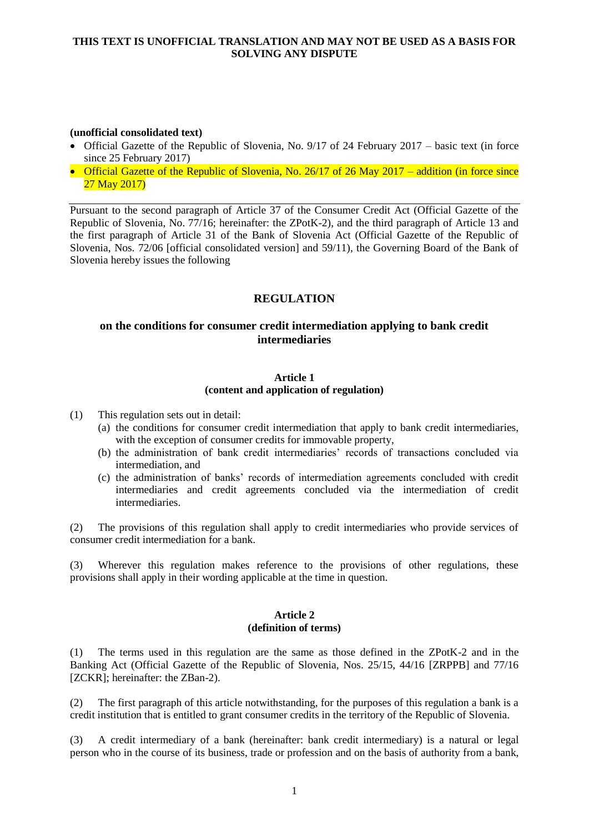### **(unofficial consolidated text)**

- Official Gazette of the Republic of Slovenia, No. 9/17 of 24 February 2017 basic text (in force since 25 February 2017)
- Official Gazette of the Republic of Slovenia, No. 26/17 of 26 May 2017 addition (in force since 27 May 2017)

Pursuant to the second paragraph of Article 37 of the Consumer Credit Act (Official Gazette of the Republic of Slovenia, No. 77/16; hereinafter: the ZPotK-2), and the third paragraph of Article 13 and the first paragraph of Article 31 of the Bank of Slovenia Act (Official Gazette of the Republic of Slovenia, Nos. 72/06 [official consolidated version] and 59/11), the Governing Board of the Bank of Slovenia hereby issues the following

# **REGULATION**

# **on the conditions for consumer credit intermediation applying to bank credit intermediaries**

### **Article 1 (content and application of regulation)**

(1) This regulation sets out in detail:

- (a) the conditions for consumer credit intermediation that apply to bank credit intermediaries, with the exception of consumer credits for immovable property,
- (b) the administration of bank credit intermediaries' records of transactions concluded via intermediation, and
- (c) the administration of banks' records of intermediation agreements concluded with credit intermediaries and credit agreements concluded via the intermediation of credit intermediaries.

(2) The provisions of this regulation shall apply to credit intermediaries who provide services of consumer credit intermediation for a bank.

(3) Wherever this regulation makes reference to the provisions of other regulations, these provisions shall apply in their wording applicable at the time in question.

#### **Article 2 (definition of terms)**

(1) The terms used in this regulation are the same as those defined in the ZPotK-2 and in the Banking Act (Official Gazette of the Republic of Slovenia, Nos. 25/15, 44/16 [ZRPPB] and 77/16 [ZCKR]: hereinafter: the ZBan-2).

(2) The first paragraph of this article notwithstanding, for the purposes of this regulation a bank is a credit institution that is entitled to grant consumer credits in the territory of the Republic of Slovenia.

(3) A credit intermediary of a bank (hereinafter: bank credit intermediary) is a natural or legal person who in the course of its business, trade or profession and on the basis of authority from a bank,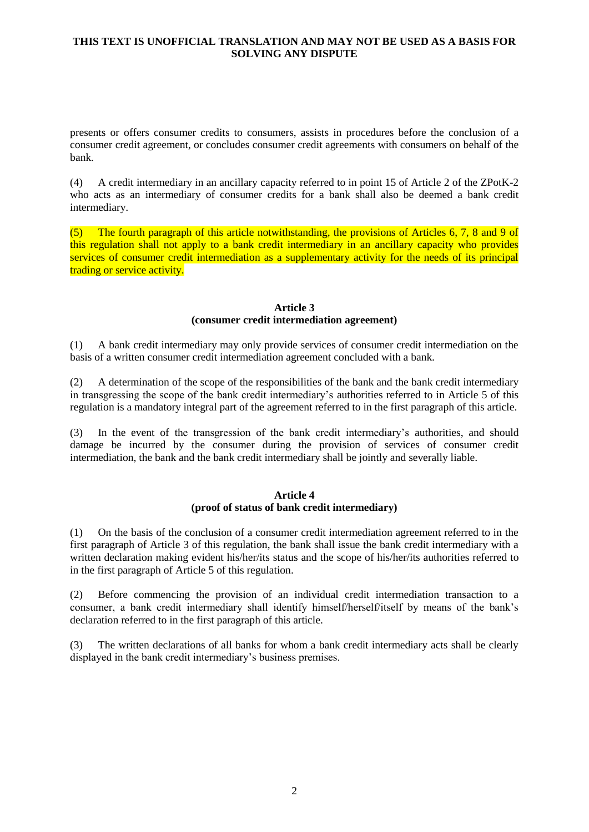presents or offers consumer credits to consumers, assists in procedures before the conclusion of a consumer credit agreement, or concludes consumer credit agreements with consumers on behalf of the bank.

(4) A credit intermediary in an ancillary capacity referred to in point 15 of Article 2 of the ZPotK-2 who acts as an intermediary of consumer credits for a bank shall also be deemed a bank credit intermediary.

(5) The fourth paragraph of this article notwithstanding, the provisions of Articles 6, 7, 8 and 9 of this regulation shall not apply to a bank credit intermediary in an ancillary capacity who provides services of consumer credit intermediation as a supplementary activity for the needs of its principal trading or service activity.

#### **Article 3 (consumer credit intermediation agreement)**

(1) A bank credit intermediary may only provide services of consumer credit intermediation on the basis of a written consumer credit intermediation agreement concluded with a bank.

(2) A determination of the scope of the responsibilities of the bank and the bank credit intermediary in transgressing the scope of the bank credit intermediary's authorities referred to in Article 5 of this regulation is a mandatory integral part of the agreement referred to in the first paragraph of this article.

(3) In the event of the transgression of the bank credit intermediary's authorities, and should damage be incurred by the consumer during the provision of services of consumer credit intermediation, the bank and the bank credit intermediary shall be jointly and severally liable.

### **Article 4 (proof of status of bank credit intermediary)**

(1) On the basis of the conclusion of a consumer credit intermediation agreement referred to in the first paragraph of Article 3 of this regulation, the bank shall issue the bank credit intermediary with a written declaration making evident his/her/its status and the scope of his/her/its authorities referred to in the first paragraph of Article 5 of this regulation.

(2) Before commencing the provision of an individual credit intermediation transaction to a consumer, a bank credit intermediary shall identify himself/herself/itself by means of the bank's declaration referred to in the first paragraph of this article.

(3) The written declarations of all banks for whom a bank credit intermediary acts shall be clearly displayed in the bank credit intermediary's business premises.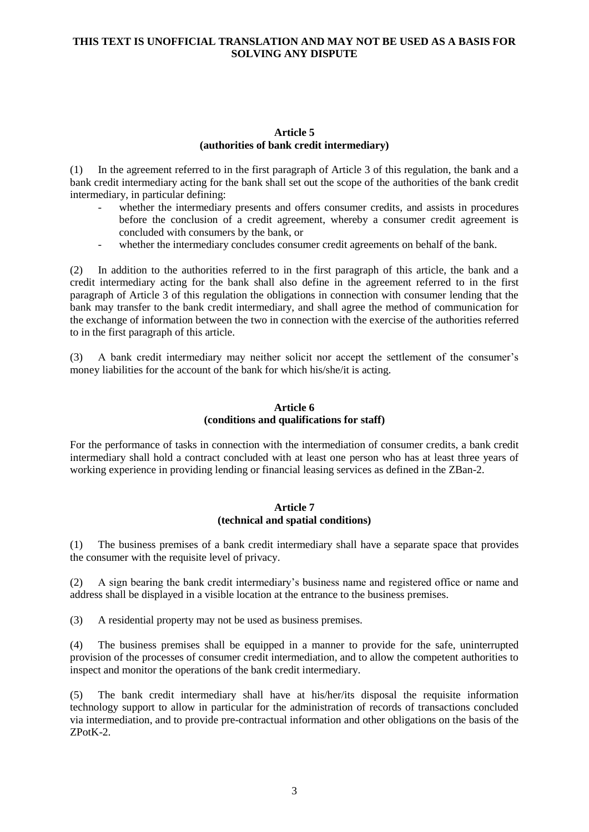### **Article 5 (authorities of bank credit intermediary)**

(1) In the agreement referred to in the first paragraph of Article 3 of this regulation, the bank and a bank credit intermediary acting for the bank shall set out the scope of the authorities of the bank credit intermediary, in particular defining:

- whether the intermediary presents and offers consumer credits, and assists in procedures before the conclusion of a credit agreement, whereby a consumer credit agreement is concluded with consumers by the bank, or
- whether the intermediary concludes consumer credit agreements on behalf of the bank.

(2) In addition to the authorities referred to in the first paragraph of this article, the bank and a credit intermediary acting for the bank shall also define in the agreement referred to in the first paragraph of Article 3 of this regulation the obligations in connection with consumer lending that the bank may transfer to the bank credit intermediary, and shall agree the method of communication for the exchange of information between the two in connection with the exercise of the authorities referred to in the first paragraph of this article.

(3) A bank credit intermediary may neither solicit nor accept the settlement of the consumer's money liabilities for the account of the bank for which his/she/it is acting.

# **Article 6 (conditions and qualifications for staff)**

For the performance of tasks in connection with the intermediation of consumer credits, a bank credit intermediary shall hold a contract concluded with at least one person who has at least three years of working experience in providing lending or financial leasing services as defined in the ZBan-2.

# **Article 7 (technical and spatial conditions)**

(1) The business premises of a bank credit intermediary shall have a separate space that provides the consumer with the requisite level of privacy.

(2) A sign bearing the bank credit intermediary's business name and registered office or name and address shall be displayed in a visible location at the entrance to the business premises.

(3) A residential property may not be used as business premises.

(4) The business premises shall be equipped in a manner to provide for the safe, uninterrupted provision of the processes of consumer credit intermediation, and to allow the competent authorities to inspect and monitor the operations of the bank credit intermediary.

(5) The bank credit intermediary shall have at his/her/its disposal the requisite information technology support to allow in particular for the administration of records of transactions concluded via intermediation, and to provide pre-contractual information and other obligations on the basis of the ZPotK-2.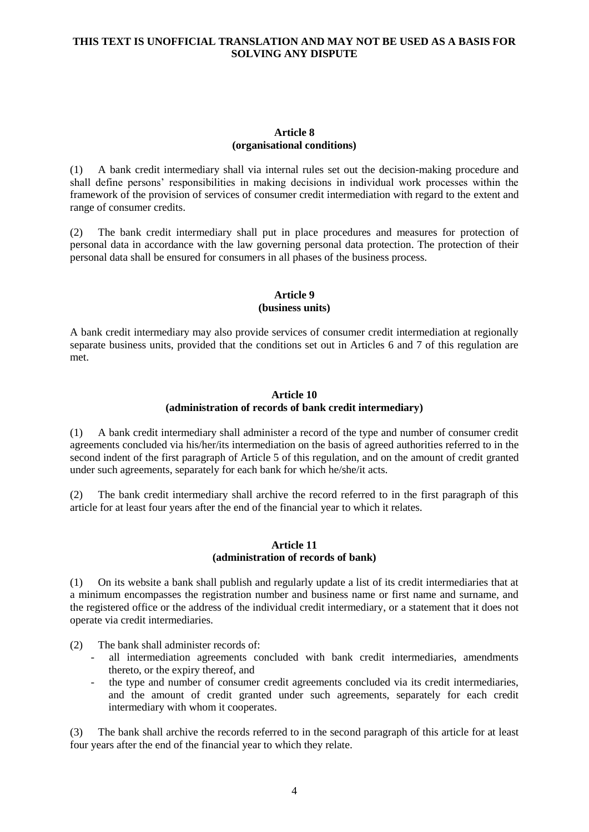### **Article 8 (organisational conditions)**

(1) A bank credit intermediary shall via internal rules set out the decision-making procedure and shall define persons' responsibilities in making decisions in individual work processes within the framework of the provision of services of consumer credit intermediation with regard to the extent and range of consumer credits.

(2) The bank credit intermediary shall put in place procedures and measures for protection of personal data in accordance with the law governing personal data protection. The protection of their personal data shall be ensured for consumers in all phases of the business process.

### **Article 9 (business units)**

A bank credit intermediary may also provide services of consumer credit intermediation at regionally separate business units, provided that the conditions set out in Articles 6 and 7 of this regulation are met.

#### **Article 10 (administration of records of bank credit intermediary)**

(1) A bank credit intermediary shall administer a record of the type and number of consumer credit agreements concluded via his/her/its intermediation on the basis of agreed authorities referred to in the second indent of the first paragraph of Article 5 of this regulation, and on the amount of credit granted under such agreements, separately for each bank for which he/she/it acts.

(2) The bank credit intermediary shall archive the record referred to in the first paragraph of this article for at least four years after the end of the financial year to which it relates.

### **Article 11 (administration of records of bank)**

(1) On its website a bank shall publish and regularly update a list of its credit intermediaries that at a minimum encompasses the registration number and business name or first name and surname, and the registered office or the address of the individual credit intermediary, or a statement that it does not operate via credit intermediaries.

(2) The bank shall administer records of:

- all intermediation agreements concluded with bank credit intermediaries, amendments thereto, or the expiry thereof, and
- the type and number of consumer credit agreements concluded via its credit intermediaries, and the amount of credit granted under such agreements, separately for each credit intermediary with whom it cooperates.

(3) The bank shall archive the records referred to in the second paragraph of this article for at least four years after the end of the financial year to which they relate.